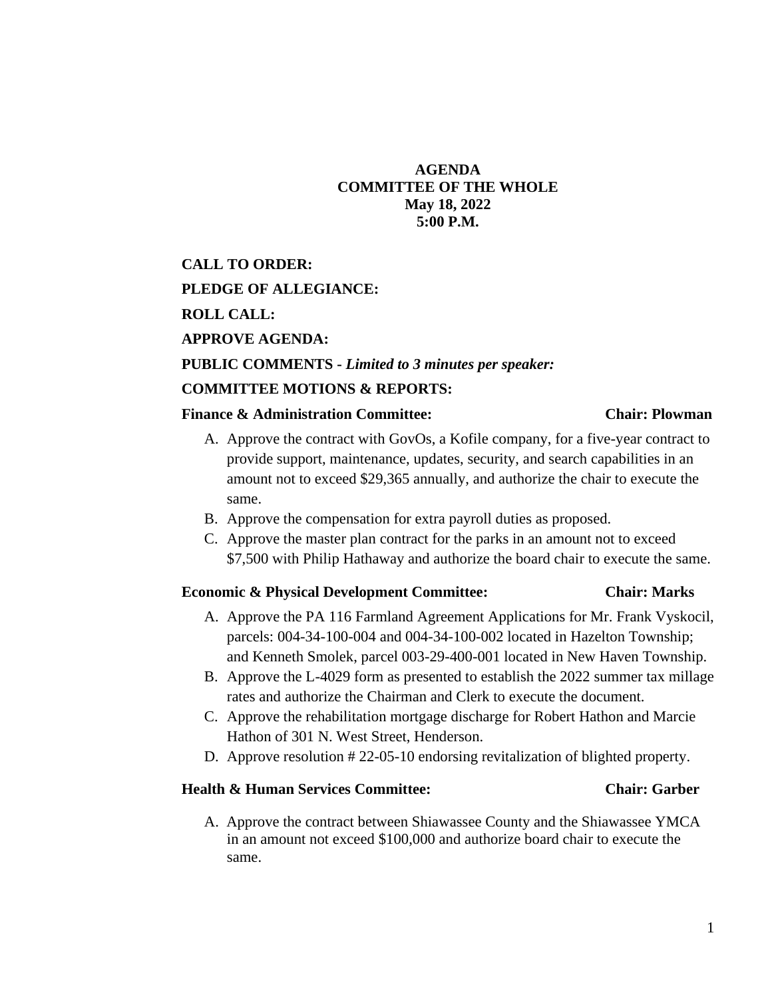# **AGENDA COMMITTEE OF THE WHOLE May 18, 2022 5:00 P.M.**

**CALL TO ORDER: PLEDGE OF ALLEGIANCE: ROLL CALL: APPROVE AGENDA: PUBLIC COMMENTS -** *Limited to 3 minutes per speaker:* **COMMITTEE MOTIONS & REPORTS:**

### **Finance & Administration Committee: Chair: Plowman**

- A. Approve the contract with GovOs, a Kofile company, for a five-year contract to provide support, maintenance, updates, security, and search capabilities in an amount not to exceed \$29,365 annually, and authorize the chair to execute the same.
- B. Approve the compensation for extra payroll duties as proposed.
- C. Approve the master plan contract for the parks in an amount not to exceed \$7,500 with Philip Hathaway and authorize the board chair to execute the same.

### **Economic & Physical Development Committee: Chair: Marks**

- A. Approve the PA 116 Farmland Agreement Applications for Mr. Frank Vyskocil, parcels: 004-34-100-004 and 004-34-100-002 located in Hazelton Township; and Kenneth Smolek, parcel 003-29-400-001 located in New Haven Township.
- B. Approve the L-4029 form as presented to establish the 2022 summer tax millage rates and authorize the Chairman and Clerk to execute the document.
- C. Approve the rehabilitation mortgage discharge for Robert Hathon and Marcie Hathon of 301 N. West Street, Henderson.
- D. Approve resolution # 22-05-10 endorsing revitalization of blighted property.

### **Health & Human Services Committee: Chair: Garber**

A. Approve the contract between Shiawassee County and the Shiawassee YMCA in an amount not exceed \$100,000 and authorize board chair to execute the same.

# 1